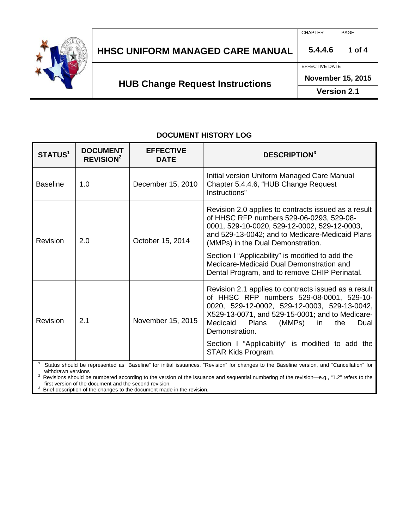

# **HHSC UNIFORM MANAGED CARE MANUAL 5.4.4.6 1 of 4**

EFFECTIVE DATE

## **HUB Change Request Instructions**

**November 15, 2015**

**Version 2.1**

### **DOCUMENT HISTORY LOG**

| STATUS <sup>1</sup>                                                                                                                      | <b>DOCUMENT</b><br><b>REVISION<sup>2</sup></b> | <b>EFFECTIVE</b><br><b>DATE</b> | <b>DESCRIPTION3</b>                                                                                                                                                                                                                                                                                                                                                                       |  |
|------------------------------------------------------------------------------------------------------------------------------------------|------------------------------------------------|---------------------------------|-------------------------------------------------------------------------------------------------------------------------------------------------------------------------------------------------------------------------------------------------------------------------------------------------------------------------------------------------------------------------------------------|--|
| <b>Baseline</b>                                                                                                                          | 1.0                                            | December 15, 2010               | Initial version Uniform Managed Care Manual<br>Chapter 5.4.4.6, "HUB Change Request<br>Instructions"                                                                                                                                                                                                                                                                                      |  |
| Revision                                                                                                                                 | 2.0                                            | October 15, 2014                | Revision 2.0 applies to contracts issued as a result<br>of HHSC RFP numbers 529-06-0293, 529-08-<br>0001, 529-10-0020, 529-12-0002, 529-12-0003,<br>and 529-13-0042; and to Medicare-Medicaid Plans<br>(MMPs) in the Dual Demonstration.<br>Section I "Applicability" is modified to add the<br>Medicare-Medicaid Dual Demonstration and<br>Dental Program, and to remove CHIP Perinatal. |  |
| <b>Revision</b>                                                                                                                          | 2.1                                            | November 15, 2015               | Revision 2.1 applies to contracts issued as a result<br>of HHSC RFP numbers 529-08-0001, 529-10-<br>0020, 529-12-0002, 529-12-0003, 529-13-0042,<br>X529-13-0071, and 529-15-0001; and to Medicare-<br>Medicaid<br>Plans<br>(MMPs)<br>in<br>the<br>Dual<br>Demonstration.<br>Section I "Applicability" is modified to add the<br>STAR Kids Program.                                       |  |
| Status should be represented as "Baseline" for initial issuances, "Revision" for changes to the Baseline version, and "Cancellation" for |                                                |                                 |                                                                                                                                                                                                                                                                                                                                                                                           |  |

 Status should be represented as "Baseline" for initial issuances, "Revision" for changes to the Baseline version, and "Cancellation" for withdrawn versions<br><sup>2</sup> Revisions should be numbered according to the version of the issuance and sequential numbering of the revision—e.g., "1.2" refers to the

first version of the document and the second revision.

Brief description of the changes to the document made in the revision.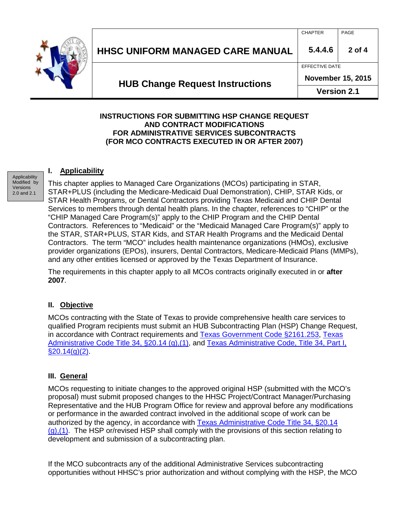

# **HHSC UNIFORM MANAGED CARE MANUAL 5.4.4.6 2 of 4**

CHAPTER PAGE

EFFECTIVE DATE

### **HUB Change Request Instructions**

**November 15, 2015**

**Version 2.1**

#### **INSTRUCTIONS FOR SUBMITTING HSP CHANGE REQUEST AND CONTRACT MODIFICATIONS FOR ADMINISTRATIVE SERVICES SUBCONTRACTS (FOR MCO CONTRACTS EXECUTED IN OR AFTER 2007)**

#### **I. Applicability**

Applicability Modified by Versions 2.0 and 2.1

This chapter applies to Managed Care Organizations (MCOs) participating in STAR, STAR+PLUS (including the Medicare-Medicaid Dual Demonstration), CHIP, STAR Kids, or STAR Health Programs, or Dental Contractors providing Texas Medicaid and CHIP Dental Services to members through dental health plans. In the chapter, references to "CHIP" or the "CHIP Managed Care Program(s)" apply to the CHIP Program and the CHIP Dental Contractors. References to "Medicaid" or the "Medicaid Managed Care Program(s)" apply to the STAR, STAR+PLUS, STAR Kids, and STAR Health Programs and the Medicaid Dental Contractors. The term "MCO" includes health maintenance organizations (HMOs), exclusive provider organizations (EPOs), insurers, Dental Contractors, Medicare-Medicaid Plans (MMPs), and any other entities licensed or approved by the Texas Department of Insurance.

The requirements in this chapter apply to all MCOs contracts originally executed in or **after 2007**.

### **II. Objective**

MCOs contracting with the State of Texas to provide comprehensive health care services to qualified Program recipients must submit an HUB Subcontracting Plan (HSP) Change Request, in accordance with Contract requirements and [Texas Government Code §2161.253,](http://www.statutes.legis.state.tx.us/Docs/GV/htm/GV.2161.htm#2161.253) [Texas](http://info.sos.state.tx.us/pls/pub/readtac$ext.TacPage?sl=R&app=9&p_dir=&p_rloc=&p_tloc=&p_ploc=&pg=1&p_tac=&ti=34&pt=1&ch=20&rl=14)  [Administrative Code Title 34, §20.14 \(g\),\(1\),](http://info.sos.state.tx.us/pls/pub/readtac$ext.TacPage?sl=R&app=9&p_dir=&p_rloc=&p_tloc=&p_ploc=&pg=1&p_tac=&ti=34&pt=1&ch=20&rl=14) and [Texas Administrative Code, Title 34, Part I,](http://info.sos.state.tx.us/pls/pub/readtac$ext.TacPage?sl=R&app=9&p_dir=&p_rloc=&p_tloc=&p_ploc=&pg=1&p_tac=&ti=34&pt=1&ch=20&rl=14)   $\S 20.14(g)(2)$ .

### **III. General**

MCOs requesting to initiate changes to the approved original HSP (submitted with the MCO's proposal) must submit proposed changes to the HHSC Project/Contract Manager/Purchasing Representative and the HUB Program Office for review and approval before any modifications or performance in the awarded contract involved in the additional scope of work can be authorized by the agency, in accordance with [Texas Administrative Code Title 34, §20.14](http://info.sos.state.tx.us/pls/pub/readtac$ext.TacPage?sl=R&app=9&p_dir=&p_rloc=&p_tloc=&p_ploc=&pg=1&p_tac=&ti=34&pt=1&ch=20&rl=14)   $(q)$ ,(1). The HSP or/revised HSP shall comply with the provisions of this section relating to development and submission of a subcontracting plan.

If the MCO subcontracts any of the additional Administrative Services subcontracting opportunities without HHSC's prior authorization and without complying with the HSP, the MCO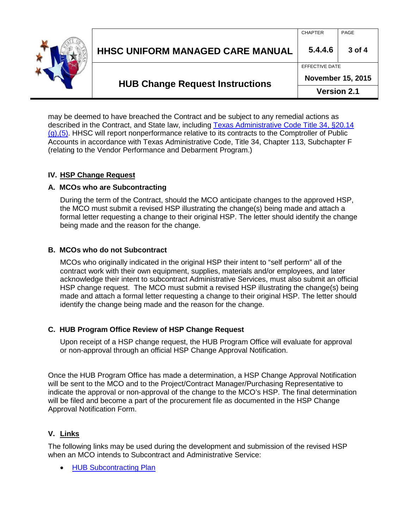

| HHSC UNIFORM MANAGED CARE MANUAL   5.4.4.6   3 of 4 |  |
|-----------------------------------------------------|--|
|                                                     |  |

**HUB Change Request Instructions**

**November 15, 2015**

EFFECTIVE DATE

**Version 2.1**

may be deemed to have breached the Contract and be subject to any remedial actions as described in the Contract, and State law, including [Texas Administrative Code Title 34, §20.14](http://info.sos.state.tx.us/pls/pub/readtac$ext.TacPage?sl=R&app=9&p_dir=&p_rloc=&p_tloc=&p_ploc=&pg=1&p_tac=&ti=34&pt=1&ch=20&rl=14)  [\(g\),\(5\).](http://info.sos.state.tx.us/pls/pub/readtac$ext.TacPage?sl=R&app=9&p_dir=&p_rloc=&p_tloc=&p_ploc=&pg=1&p_tac=&ti=34&pt=1&ch=20&rl=14) HHSC will report nonperformance relative to its contracts to the Comptroller of Public Accounts in accordance with Texas Administrative Code, Title 34, Chapter 113, Subchapter F (relating to the Vendor Performance and Debarment Program.)

#### **IV. HSP Change Request**

#### **A. MCOs who are Subcontracting**

During the term of the Contract, should the MCO anticipate changes to the approved HSP, the MCO must submit a revised HSP illustrating the change(s) being made and attach a formal letter requesting a change to their original HSP. The letter should identify the change being made and the reason for the change.

#### **B. MCOs who do not Subcontract**

MCOs who originally indicated in the original HSP their intent to "self perform" all of the contract work with their own equipment, supplies, materials and/or employees, and later acknowledge their intent to subcontract Administrative Services, must also submit an official HSP change request. The MCO must submit a revised HSP illustrating the change(s) being made and attach a formal letter requesting a change to their original HSP. The letter should identify the change being made and the reason for the change.

### **C. HUB Program Office Review of HSP Change Request**

Upon receipt of a HSP change request, the HUB Program Office will evaluate for approval or non-approval through an official HSP Change Approval Notification.

Once the HUB Program Office has made a determination, a HSP Change Approval Notification will be sent to the MCO and to the Project/Contract Manager/Purchasing Representative to indicate the approval or non-approval of the change to the MCO's HSP. The final determination will be filed and become a part of the procurement file as documented in the HSP Change Approval Notification Form.

### **V. Links**

The following links may be used during the development and submission of the revised HSP when an MCO intends to Subcontract and Administrative Service:

• [HUB Subcontracting Plan](http://www.cpa.state.tx.us/procurement/prog/hub/hub-forms/HUBSubcontractingPlan.pdf)